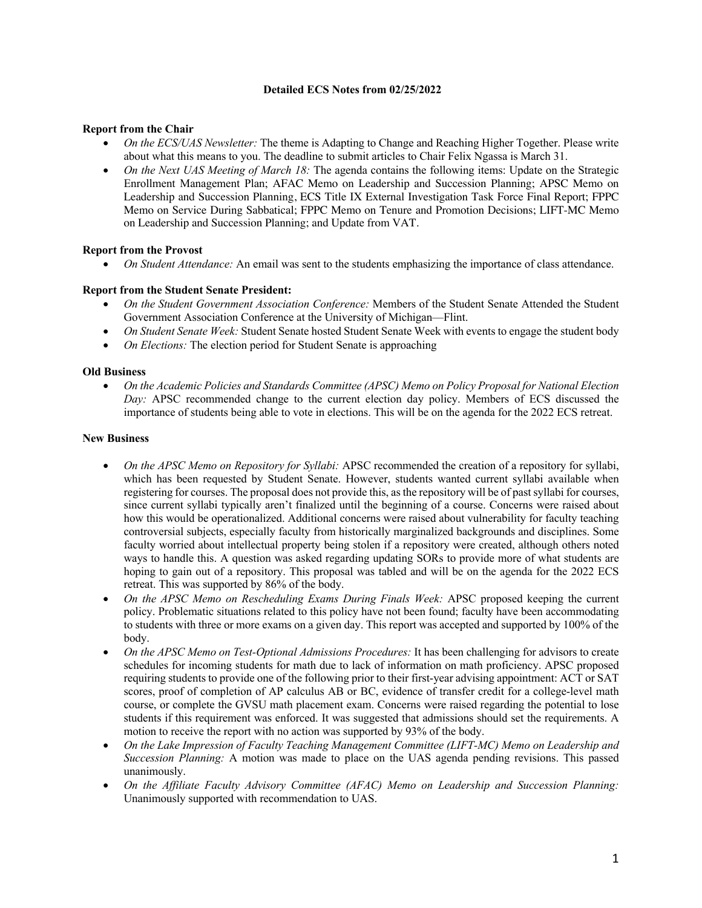# **Detailed ECS Notes from 02/25/2022**

# **Report from the Chair**

- *On the ECS/UAS Newsletter:* The theme is Adapting to Change and Reaching Higher Together. Please write about what this means to you. The deadline to submit articles to Chair Felix Ngassa is March 31.
- *On the Next UAS Meeting of March 18:* The agenda contains the following items: Update on the Strategic Enrollment Management Plan; AFAC Memo on Leadership and Succession Planning; APSC Memo on Leadership and Succession Planning, ECS Title IX External Investigation Task Force Final Report; FPPC Memo on Service During Sabbatical; FPPC Memo on Tenure and Promotion Decisions; LIFT-MC Memo on Leadership and Succession Planning; and Update from VAT.

### **Report from the Provost**

• *On Student Attendance:* An email was sent to the students emphasizing the importance of class attendance.

### **Report from the Student Senate President:**

- *On the Student Government Association Conference:* Members of the Student Senate Attended the Student Government Association Conference at the University of Michigan—Flint.
- *On Student Senate Week:* Student Senate hosted Student Senate Week with events to engage the student body
- *On Elections:* The election period for Student Senate is approaching

#### **Old Business**

• *On the Academic Policies and Standards Committee (APSC) Memo on Policy Proposal for National Election Day:* APSC recommended change to the current election day policy. Members of ECS discussed the importance of students being able to vote in elections. This will be on the agenda for the 2022 ECS retreat.

### **New Business**

- *On the APSC Memo on Repository for Syllabi:* APSC recommended the creation of a repository for syllabi, which has been requested by Student Senate. However, students wanted current syllabi available when registering for courses. The proposal does not provide this, as the repository will be of past syllabi for courses, since current syllabi typically aren't finalized until the beginning of a course. Concerns were raised about how this would be operationalized. Additional concerns were raised about vulnerability for faculty teaching controversial subjects, especially faculty from historically marginalized backgrounds and disciplines. Some faculty worried about intellectual property being stolen if a repository were created, although others noted ways to handle this. A question was asked regarding updating SORs to provide more of what students are hoping to gain out of a repository. This proposal was tabled and will be on the agenda for the 2022 ECS retreat. This was supported by 86% of the body.
- *On the APSC Memo on Rescheduling Exams During Finals Week:* APSC proposed keeping the current policy. Problematic situations related to this policy have not been found; faculty have been accommodating to students with three or more exams on a given day. This report was accepted and supported by 100% of the body.
- *On the APSC Memo on Test-Optional Admissions Procedures:* It has been challenging for advisors to create schedules for incoming students for math due to lack of information on math proficiency. APSC proposed requiring students to provide one of the following prior to their first-year advising appointment: ACT or SAT scores, proof of completion of AP calculus AB or BC, evidence of transfer credit for a college-level math course, or complete the GVSU math placement exam. Concerns were raised regarding the potential to lose students if this requirement was enforced. It was suggested that admissions should set the requirements. A motion to receive the report with no action was supported by 93% of the body.
- *On the Lake Impression of Faculty Teaching Management Committee (LIFT-MC) Memo on Leadership and Succession Planning:* A motion was made to place on the UAS agenda pending revisions. This passed unanimously.
- *On the Affiliate Faculty Advisory Committee (AFAC) Memo on Leadership and Succession Planning:*  Unanimously supported with recommendation to UAS.